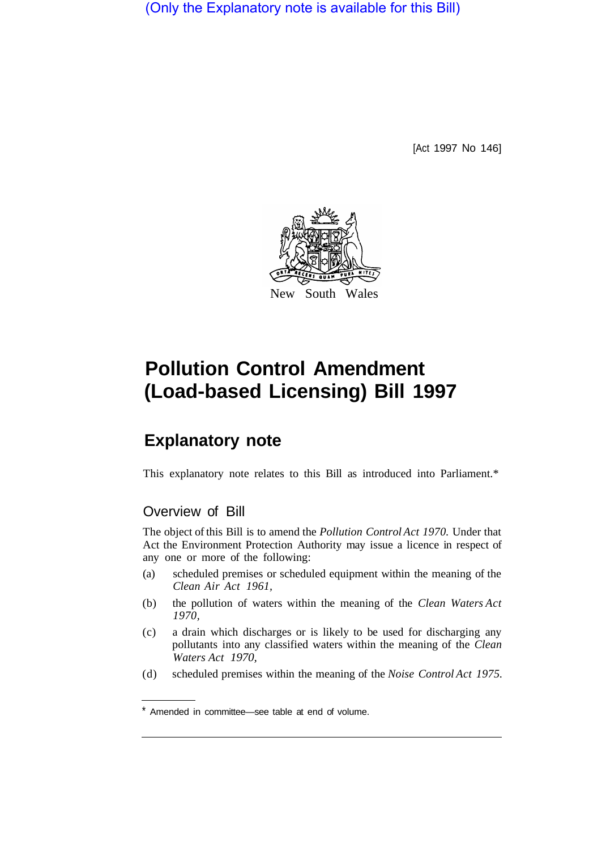(Only the Explanatory note is available for this Bill)

[Act 1997 No 146]



# **Pollution Control Amendment (Load-based Licensing) Bill 1997**

## **Explanatory note**

This explanatory note relates to this Bill as introduced into Parliament.\*

### Overview of Bill

The object of this Bill is to amend the *Pollution Control Act 1970.* Under that Act the Environment Protection Authority may issue a licence in respect of any one or more of the following:

- (a) scheduled premises or scheduled equipment within the meaning of the *Clean Air Act 1961,*
- (b) the pollution of waters within the meaning of the *Clean Waters Act 1970,*
- (c) a drain which discharges or is likely to be used for discharging any pollutants into any classified waters within the meaning of the *Clean Waters Act 1970,*
- (d) scheduled premises within the meaning of the *Noise Control Act 1975.*

<sup>\*</sup> Amended in committee—see table at end of volume.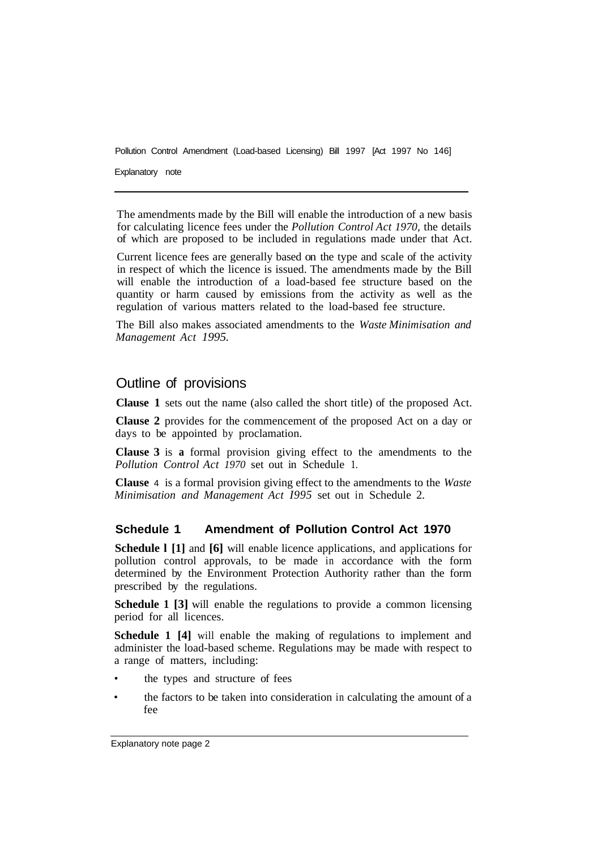Pollution Control Amendment (Load-based Licensing) Bill 1997 [Act 1997 No 146]

Explanatory note

The amendments made by the Bill will enable the introduction of a new basis for calculating licence fees under the *Pollution Control Act 1970,* the details of which are proposed to be included in regulations made under that Act.

Current licence fees are generally based on the type and scale of the activity in respect of which the licence is issued. The amendments made by the Bill will enable the introduction of a load-based fee structure based on the quantity or harm caused by emissions from the activity as well as the regulation of various matters related to the load-based fee structure.

The Bill also makes associated amendments to the *Waste Minimisation and Management Act 1995.* 

#### Outline of provisions

**Clause 1** sets out the name (also called the short title) of the proposed Act.

**Clause 2** provides for the commencement of the proposed Act on a day or days to be appointed by proclamation.

**Clause 3** is **a** formal provision giving effect to the amendments to the *Pollution Control Act 1970* set out in Schedule 1.

**Clause** 4 is a formal provision giving effect to the amendments to the *Waste Minimisation and Management Act I995* set out in Schedule 2.

#### **Schedule 1 Amendment of Pollution Control Act 1970**

**Schedule l [1]** and **[6]** will enable licence applications, and applications for pollution control approvals, to be made in accordance with the form determined by the Environment Protection Authority rather than the form prescribed by the regulations.

**Schedule 1 [3]** will enable the regulations to provide a common licensing period for all licences.

**Schedule 1 [4]** will enable the making of regulations to implement and administer the load-based scheme. Regulations may be made with respect to a range of matters, including:

- the types and structure of fees
- the factors to be taken into consideration in calculating the amount of a fee

Explanatory note page 2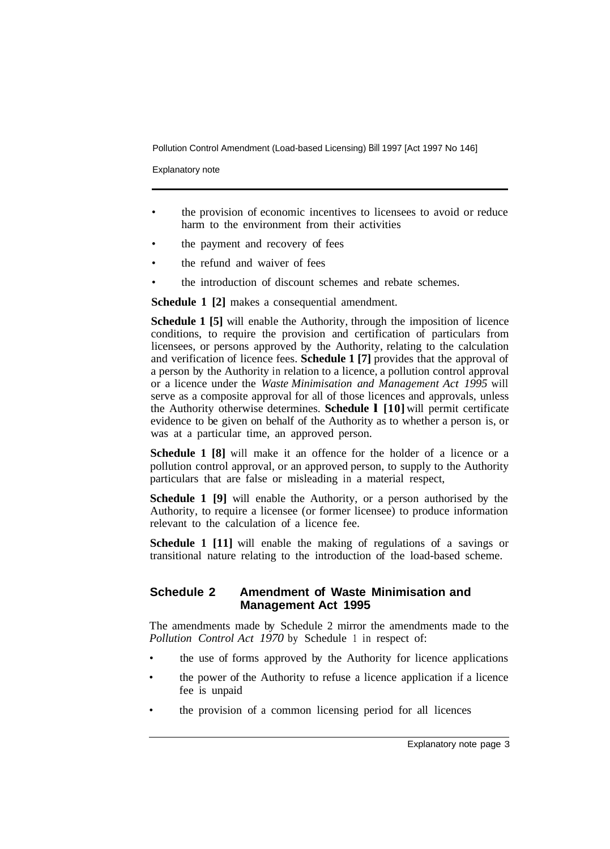Pollution Control Amendment (Load-based Licensing) Bill 1997 [Act 1997 No 146]

Explanatory note

- the provision of economic incentives to licensees to avoid or reduce harm to the environment from their activities
- the payment and recovery of fees
- the refund and waiver of fees
- the introduction of discount schemes and rebate schemes.

**Schedule 1 [2]** makes a consequential amendment.

**Schedule 1 [5]** will enable the Authority, through the imposition of licence conditions, to require the provision and certification of particulars from licensees, or persons approved by the Authority, relating to the calculation and verification of licence fees. **Schedule 1 [7]** provides that the approval of a person by the Authority in relation to a licence, a pollution control approval or a licence under the *Waste Minimisation and Management Act 1995* will serve as a composite approval for all of those licences and approvals, unless the Authority otherwise determines. **Schedule l [10]** will permit certificate evidence to be given on behalf of the Authority as to whether a person is, or was at a particular time, an approved person.

**Schedule 1 [8]** will make it an offence for the holder of a licence or a pollution control approval, or an approved person, to supply to the Authority particulars that are false or misleading in a material respect,

**Schedule 1 [9]** will enable the Authority, or a person authorised by the Authority, to require a licensee (or former licensee) to produce information relevant to the calculation of a licence fee.

**Schedule 1 [11]** will enable the making of regulations of a savings or transitional nature relating to the introduction of the load-based scheme.

#### **Schedule 2 Amendment of Waste Minimisation and Management Act 1995**

The amendments made by Schedule 2 mirror the amendments made to the *Pollution Control Act 1970* by Schedule 1 in respect of:

- the use of forms approved by the Authority for licence applications
- the power of the Authority to refuse a licence application if a licence fee is unpaid
- the provision of a common licensing period for all licences